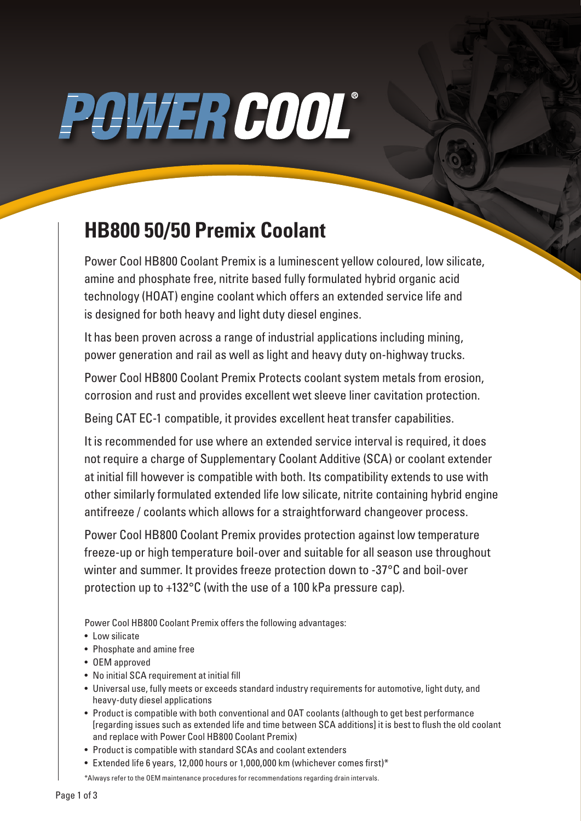# POWER COOL®

### **HB800 50/50 Premix Coolant**

Power Cool HB800 Coolant Premix is a luminescent yellow coloured, low silicate, amine and phosphate free, nitrite based fully formulated hybrid organic acid technology (HOAT) engine coolant which offers an extended service life and is designed for both heavy and light duty diesel engines.

It has been proven across a range of industrial applications including mining, power generation and rail as well as light and heavy duty on-highway trucks.

Power Cool HB800 Coolant Premix Protects coolant system metals from erosion, corrosion and rust and provides excellent wet sleeve liner cavitation protection.

Being CAT EC-1 compatible, it provides excellent heat transfer capabilities.

It is recommended for use where an extended service interval is required, it does not require a charge of Supplementary Coolant Additive (SCA) or coolant extender at initial fill however is compatible with both. Its compatibility extends to use with other similarly formulated extended life low silicate, nitrite containing hybrid engine antifreeze / coolants which allows for a straightforward changeover process.

Power Cool HB800 Coolant Premix provides protection against low temperature freeze-up or high temperature boil-over and suitable for all season use throughout winter and summer. It provides freeze protection down to -37°C and boil-over protection up to +132°C (with the use of a 100 kPa pressure cap).

Power Cool HB800 Coolant Premix offers the following advantages:

- Low silicate
- Phosphate and amine free
- OEM approved
- No initial SCA requirement at initial fill
- Universal use, fully meets or exceeds standard industry requirements for automotive, light duty, and heavy-duty diesel applications
- Product is compatible with both conventional and OAT coolants (although to get best performance [regarding issues such as extended life and time between SCA additions] it is best to flush the old coolant and replace with Power Cool HB800 Coolant Premix)
- Product is compatible with standard SCAs and coolant extenders
- Extended life 6 years, 12,000 hours or 1,000,000 km (whichever comes first)\*

\*Always refer to the OEM maintenance procedures for recommendations regarding drain intervals.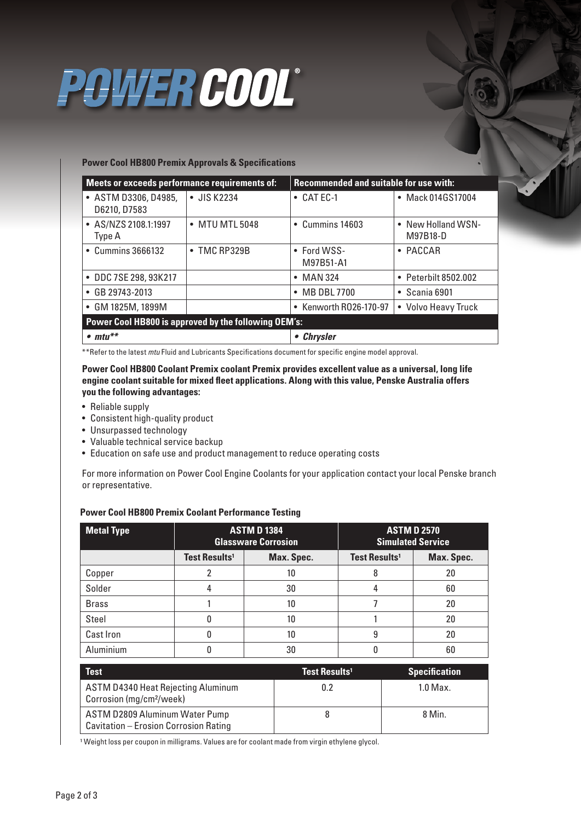### POWER COOL®

#### **Power Cool HB800 Premix Approvals & Specifications**

| Meets or exceeds performance requirements of:        |                      | <b>Recommended and suitable for use with:</b> |                                           |  |
|------------------------------------------------------|----------------------|-----------------------------------------------|-------------------------------------------|--|
| • ASTM D3306, D4985,<br>D6210, D7583                 | • JIS K2234          | $\bullet$ CAT EC-1                            | • Mack 014GS17004                         |  |
| • AS/NZS 2108.1:1997<br>Type A                       | • MTU MTL 5048       | • Cummins 14603                               | New Holland WSN-<br>$\bullet$<br>M97B18-D |  |
| • Cummins 3666132                                    | $\bullet$ TMC RP329B | $\bullet$ Ford WSS-<br>M97B51-A1              | PACCAR<br>$\bullet$                       |  |
| • DDC 7SE 298, 93K217                                |                      | • MAN 324                                     | Peterbilt 8502.002<br>$\bullet$           |  |
| • GB 29743-2013                                      |                      | • MB DBL 7700                                 | $\bullet$ Scania 6901                     |  |
| GM 1825M, 1899M                                      |                      | • Kenworth R026-170-97                        | • Volvo Heavy Truck                       |  |
| Power Cool HB800 is approved by the following OEM's: |                      |                                               |                                           |  |
| $\bullet$ mtu**                                      |                      | • Chrysler                                    |                                           |  |

\*\*Refer to the latest *mtu* Fluid and Lubricants Specifications document for specific engine model approval.

**Power Cool HB800 Coolant Premix coolant Premix provides excellent value as a universal, long life engine coolant suitable for mixed fleet applications. Along with this value, Penske Australia offers you the following advantages:**

- Reliable supply
- Consistent high-quality product
- Unsurpassed technology
- Valuable technical service backup
- Education on safe use and product management to reduce operating costs

For more information on Power Cool Engine Coolants for your application contact your local Penske branch or representative.

#### **Power Cool HB800 Premix Coolant Performance Testing**

| <b>Metal Type</b> | <b>ASTM D 1384</b><br><b>Glassware Corrosion</b> |            | <b>ASTM D 2570</b><br><b>Simulated Service</b> |            |
|-------------------|--------------------------------------------------|------------|------------------------------------------------|------------|
|                   | <b>Test Results<sup>1</sup></b>                  | Max. Spec. | <b>Test Results<sup>1</sup></b>                | Max. Spec. |
| Copper            |                                                  | 10         | 8                                              | 20         |
| Solder            |                                                  | 30         |                                                | 60         |
| <b>Brass</b>      |                                                  | 10         |                                                | 20         |
| Steel             |                                                  | 10         |                                                | 20         |
| Cast Iron         |                                                  | 10         | 9                                              | 20         |
| Aluminium         |                                                  | 30         |                                                | 60         |

| <b>Test</b>                                                                       | Test Results <sup>1</sup> | <b>Specification</b> |
|-----------------------------------------------------------------------------------|---------------------------|----------------------|
| <b>ASTM D4340 Heat Rejecting Aluminum</b><br>Corrosion (mg/cm <sup>2</sup> /week) | 0.2                       | $1.0$ Max.           |
| ASTM D2809 Aluminum Water Pump<br>Cavitation - Erosion Corrosion Rating           |                           | 8 Min.               |

<sup>1</sup> Weight loss per coupon in milligrams. Values are for coolant made from virgin ethylene glycol.